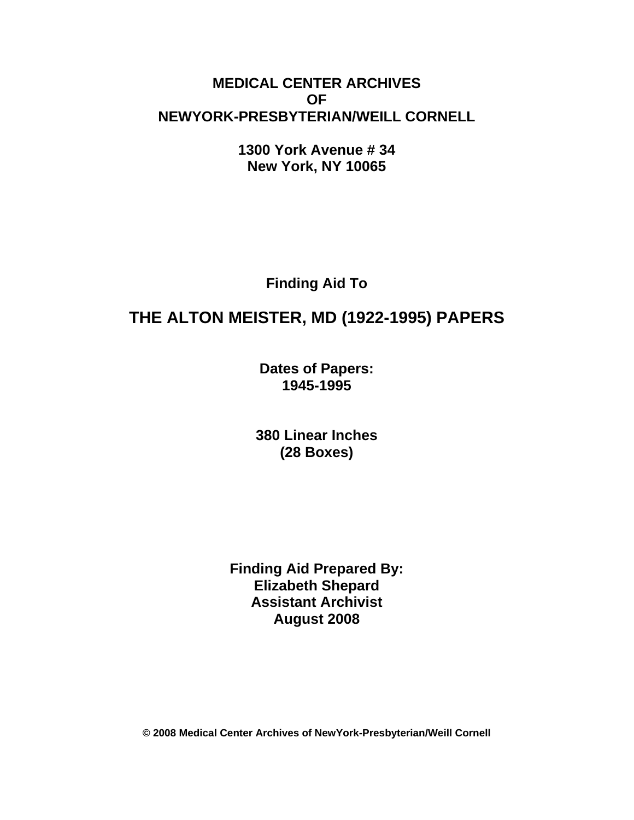# **MEDICAL CENTER ARCHIVES OF NEWYORK-PRESBYTERIAN/WEILL CORNELL**

**1300 York Avenue # 34 New York, NY 10065** 

**Finding Aid To** 

# **THE ALTON MEISTER, MD (1922-1995) PAPERS**

**Dates of Papers: 1945-1995**

**380 Linear Inches (28 Boxes)** 

**Finding Aid Prepared By: Elizabeth Shepard Assistant Archivist August 2008** 

**© 2008 Medical Center Archives of NewYork-Presbyterian/Weill Cornell**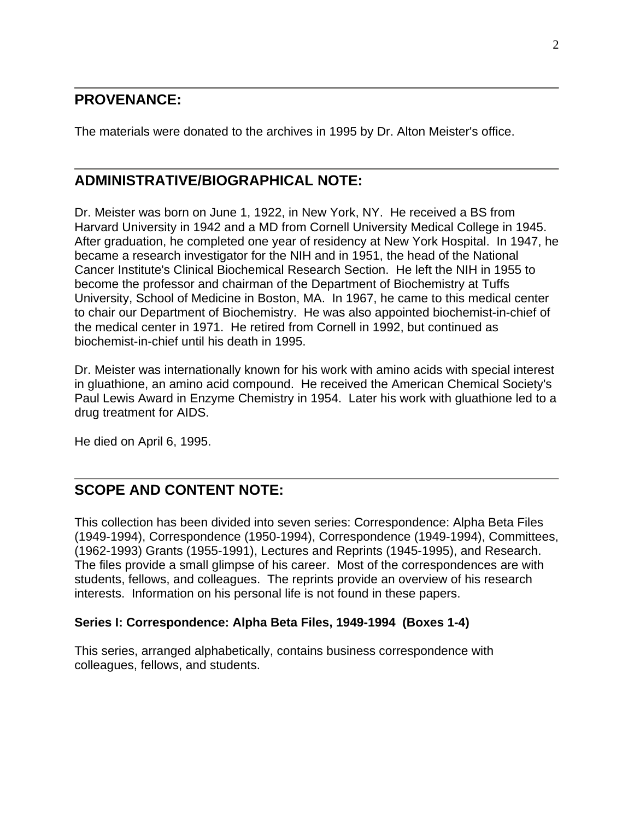# **PROVENANCE:**

The materials were donated to the archives in 1995 by Dr. Alton Meister's office.

# **ADMINISTRATIVE/BIOGRAPHICAL NOTE:**

Dr. Meister was born on June 1, 1922, in New York, NY. He received a BS from Harvard University in 1942 and a MD from Cornell University Medical College in 1945. After graduation, he completed one year of residency at New York Hospital. In 1947, he became a research investigator for the NIH and in 1951, the head of the National Cancer Institute's Clinical Biochemical Research Section. He left the NIH in 1955 to become the professor and chairman of the Department of Biochemistry at Tuffs University, School of Medicine in Boston, MA. In 1967, he came to this medical center to chair our Department of Biochemistry. He was also appointed biochemist-in-chief of the medical center in 1971. He retired from Cornell in 1992, but continued as biochemist-in-chief until his death in 1995.

Dr. Meister was internationally known for his work with amino acids with special interest in gluathione, an amino acid compound. He received the American Chemical Society's Paul Lewis Award in Enzyme Chemistry in 1954. Later his work with gluathione led to a drug treatment for AIDS.

He died on April 6, 1995.

# **SCOPE AND CONTENT NOTE:**

This collection has been divided into seven series: Correspondence: Alpha Beta Files (1949-1994), Correspondence (1950-1994), Correspondence (1949-1994), Committees, (1962-1993) Grants (1955-1991), Lectures and Reprints (1945-1995), and Research. The files provide a small glimpse of his career. Most of the correspondences are with students, fellows, and colleagues. The reprints provide an overview of his research interests. Information on his personal life is not found in these papers.

#### **Series I: Correspondence: Alpha Beta Files, 1949-1994 (Boxes 1-4)**

This series, arranged alphabetically, contains business correspondence with colleagues, fellows, and students.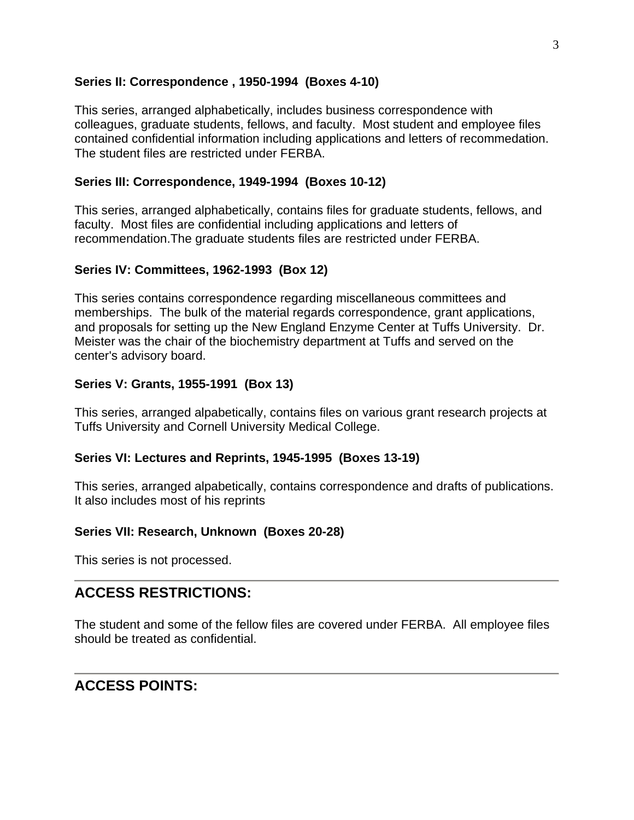### **Series II: Correspondence , 1950-1994 (Boxes 4-10)**

This series, arranged alphabetically, includes business correspondence with colleagues, graduate students, fellows, and faculty. Most student and employee files contained confidential information including applications and letters of recommedation. The student files are restricted under FERBA.

### **Series III: Correspondence, 1949-1994 (Boxes 10-12)**

This series, arranged alphabetically, contains files for graduate students, fellows, and faculty. Most files are confidential including applications and letters of recommendation.The graduate students files are restricted under FERBA.

### **Series IV: Committees, 1962-1993 (Box 12)**

This series contains correspondence regarding miscellaneous committees and memberships. The bulk of the material regards correspondence, grant applications, and proposals for setting up the New England Enzyme Center at Tuffs University. Dr. Meister was the chair of the biochemistry department at Tuffs and served on the center's advisory board.

### **Series V: Grants, 1955-1991 (Box 13)**

This series, arranged alpabetically, contains files on various grant research projects at Tuffs University and Cornell University Medical College.

#### **Series VI: Lectures and Reprints, 1945-1995 (Boxes 13-19)**

This series, arranged alpabetically, contains correspondence and drafts of publications. It also includes most of his reprints

#### **Series VII: Research, Unknown (Boxes 20-28)**

This series is not processed.

# **ACCESS RESTRICTIONS:**

The student and some of the fellow files are covered under FERBA. All employee files should be treated as confidential.

# **ACCESS POINTS:**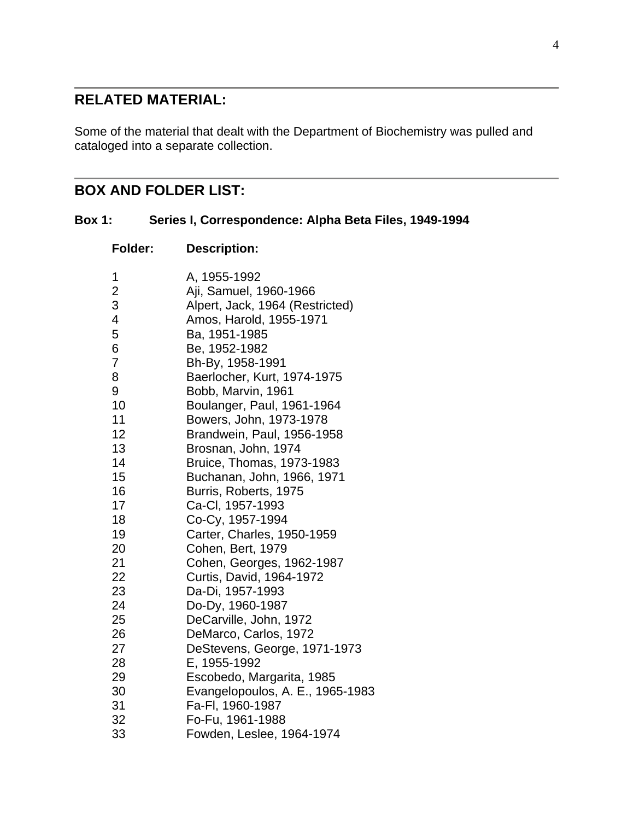# **RELATED MATERIAL:**

Some of the material that dealt with the Department of Biochemistry was pulled and cataloged into a separate collection.

# **BOX AND FOLDER LIST:**

| <b>Box 1:</b> |  | Series I, Correspondence: Alpha Beta Files, 1949-1994 |
|---------------|--|-------------------------------------------------------|
|---------------|--|-------------------------------------------------------|

| <b>Folder:</b> | <b>Description:</b>              |
|----------------|----------------------------------|
| 1              | A, 1955-1992                     |
| $\overline{c}$ | Aji, Samuel, 1960-1966           |
| 3              | Alpert, Jack, 1964 (Restricted)  |
| 4              | Amos, Harold, 1955-1971          |
| 5              | Ba, 1951-1985                    |
| 6              | Be, 1952-1982                    |
| $\overline{7}$ | Bh-By, 1958-1991                 |
| 8              | Baerlocher, Kurt, 1974-1975      |
| 9              | Bobb, Marvin, 1961               |
| 10             | Boulanger, Paul, 1961-1964       |
| 11             | Bowers, John, 1973-1978          |
| 12             | Brandwein, Paul, 1956-1958       |
| 13             | Brosnan, John, 1974              |
| 14             | Bruice, Thomas, 1973-1983        |
| 15             | Buchanan, John, 1966, 1971       |
| 16             | Burris, Roberts, 1975            |
| 17             | Ca-Cl, 1957-1993                 |
| 18             | Co-Cy, 1957-1994                 |
| 19             | Carter, Charles, 1950-1959       |
| 20             | Cohen, Bert, 1979                |
| 21             | Cohen, Georges, 1962-1987        |
| 22             | Curtis, David, 1964-1972         |
| 23             | Da-Di, 1957-1993                 |
| 24             | Do-Dy, 1960-1987                 |
| 25             | DeCarville, John, 1972           |
| 26             | DeMarco, Carlos, 1972            |
| 27             | DeStevens, George, 1971-1973     |
| 28             | E, 1955-1992                     |
| 29             | Escobedo, Margarita, 1985        |
| 30             | Evangelopoulos, A. E., 1965-1983 |
| 31             | Fa-Fl, 1960-1987                 |
| 32             | Fo-Fu, 1961-1988                 |
| 33             | Fowden, Leslee, 1964-1974        |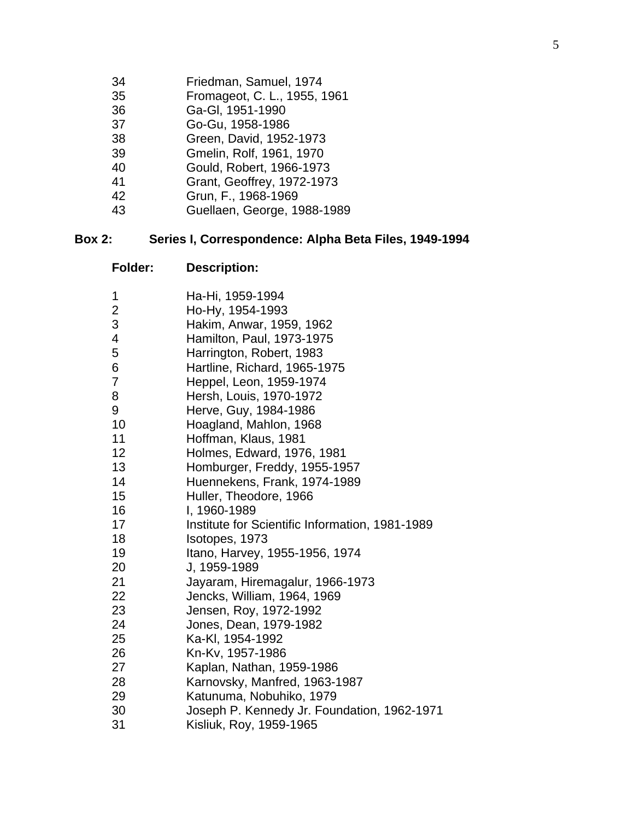- 34 Friedman, Samuel, 1974
- 35 Fromageot, C. L., 1955, 1961
- 36 Ga-Gl, 1951-1990
- 37 Go-Gu, 1958-1986
- 38 Green, David, 1952-1973
- 39 Gmelin, Rolf, 1961, 1970
- 40 Gould, Robert, 1966-1973
- 41 Grant, Geoffrey, 1972-1973
- 42 Grun, F., 1968-1969
- 43 Guellaen, George, 1988-1989

#### **Box 2: Series I, Correspondence: Alpha Beta Files, 1949-1994**

| 1              | Ha-Hi, 1959-1994                                |
|----------------|-------------------------------------------------|
| $\overline{2}$ | Ho-Hy, 1954-1993                                |
| 3              | Hakim, Anwar, 1959, 1962                        |
| 4              | Hamilton, Paul, 1973-1975                       |
| 5              | Harrington, Robert, 1983                        |
| 6              | Hartline, Richard, 1965-1975                    |
| 7              | Heppel, Leon, 1959-1974                         |
| 8              | Hersh, Louis, 1970-1972                         |
| 9              | Herve, Guy, 1984-1986                           |
| 10             | Hoagland, Mahlon, 1968                          |
| 11             | Hoffman, Klaus, 1981                            |
| 12             | Holmes, Edward, 1976, 1981                      |
| 13             | Homburger, Freddy, 1955-1957                    |
| 14             | Huennekens, Frank, 1974-1989                    |
| 15             | Huller, Theodore, 1966                          |
| 16             | I, 1960-1989                                    |
| 17             | Institute for Scientific Information, 1981-1989 |
| 18             | Isotopes, 1973                                  |
| 19             | Itano, Harvey, 1955-1956, 1974                  |
| 20             | J, 1959-1989                                    |
| 21             | Jayaram, Hiremagalur, 1966-1973                 |
| 22             | Jencks, William, 1964, 1969                     |
| 23             | Jensen, Roy, 1972-1992                          |
| 24             | Jones, Dean, 1979-1982                          |
| 25             | Ka-Kl, 1954-1992                                |
| 26             | Kn-Kv, 1957-1986                                |
| 27             | Kaplan, Nathan, 1959-1986                       |
| 28             | Karnovsky, Manfred, 1963-1987                   |
| 29             | Katunuma, Nobuhiko, 1979                        |
| 30             | Joseph P. Kennedy Jr. Foundation, 1962-1971     |
| 31             | Kisliuk, Roy, 1959-1965                         |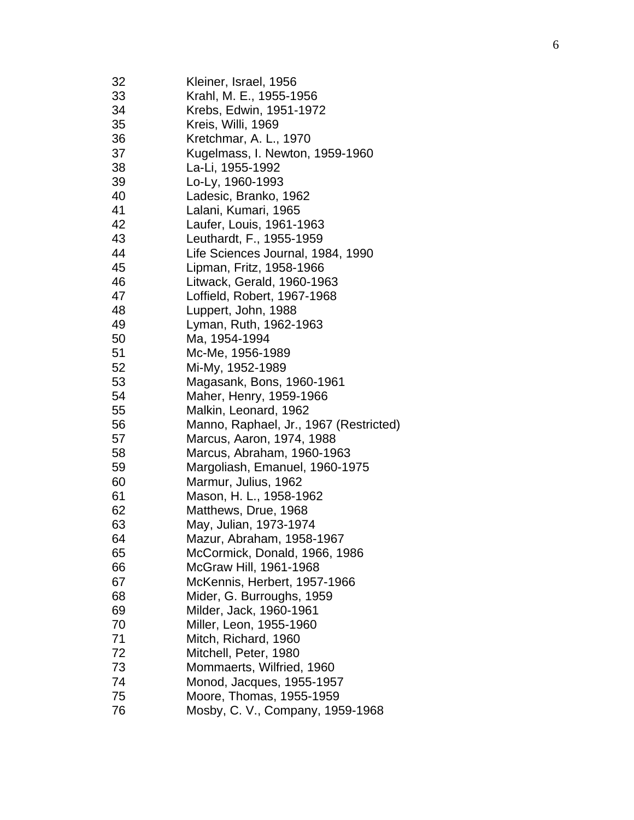| 33<br>Krahl, M. E., 1955-1956<br>34<br>Krebs, Edwin, 1951-1972<br>35<br>Kreis, Willi, 1969<br>Kretchmar, A. L., 1970<br>36<br>Kugelmass, I. Newton, 1959-1960<br>37<br>38<br>La-Li, 1955-1992<br>39<br>Lo-Ly, 1960-1993<br>40<br>Ladesic, Branko, 1962<br>41<br>Lalani, Kumari, 1965<br>42<br>Laufer, Louis, 1961-1963<br>43<br>Leuthardt, F., 1955-1959<br>44<br>Life Sciences Journal, 1984, 1990<br>45<br>Lipman, Fritz, 1958-1966<br>46<br>Litwack, Gerald, 1960-1963<br>47<br>Loffield, Robert, 1967-1968<br>48<br>Luppert, John, 1988<br>49<br>Lyman, Ruth, 1962-1963<br>50<br>Ma, 1954-1994<br>51<br>Mc-Me, 1956-1989<br>52<br>Mi-My, 1952-1989<br>53<br>Magasank, Bons, 1960-1961<br>54<br>Maher, Henry, 1959-1966<br>55<br>Malkin, Leonard, 1962<br>Manno, Raphael, Jr., 1967 (Restricted)<br>56<br>57<br>Marcus, Aaron, 1974, 1988<br>58<br>Marcus, Abraham, 1960-1963<br>59<br>Margoliash, Emanuel, 1960-1975<br>60<br>Marmur, Julius, 1962<br>61<br>Mason, H. L., 1958-1962<br>62<br>Matthews, Drue, 1968<br>63<br>May, Julian, 1973-1974<br>Mazur, Abraham, 1958-1967<br>64<br>65<br>McCormick, Donald, 1966, 1986<br>McGraw Hill, 1961-1968<br>66<br>67<br>McKennis, Herbert, 1957-1966<br>68<br>Mider, G. Burroughs, 1959<br>69<br>Milder, Jack, 1960-1961<br>70<br>Miller, Leon, 1955-1960<br>71<br>Mitch, Richard, 1960<br>72<br>Mitchell, Peter, 1980<br>73<br>Mommaerts, Wilfried, 1960<br>74<br>Monod, Jacques, 1955-1957 | 75<br>Moore, Thomas, 1955-1959<br>76<br>Mosby, C. V., Company, 1959-1968 | 32 | Kleiner, Israel, 1956 |
|-----------------------------------------------------------------------------------------------------------------------------------------------------------------------------------------------------------------------------------------------------------------------------------------------------------------------------------------------------------------------------------------------------------------------------------------------------------------------------------------------------------------------------------------------------------------------------------------------------------------------------------------------------------------------------------------------------------------------------------------------------------------------------------------------------------------------------------------------------------------------------------------------------------------------------------------------------------------------------------------------------------------------------------------------------------------------------------------------------------------------------------------------------------------------------------------------------------------------------------------------------------------------------------------------------------------------------------------------------------------------------------------------------------------------------------------------|--------------------------------------------------------------------------|----|-----------------------|
|                                                                                                                                                                                                                                                                                                                                                                                                                                                                                                                                                                                                                                                                                                                                                                                                                                                                                                                                                                                                                                                                                                                                                                                                                                                                                                                                                                                                                                               |                                                                          |    |                       |
|                                                                                                                                                                                                                                                                                                                                                                                                                                                                                                                                                                                                                                                                                                                                                                                                                                                                                                                                                                                                                                                                                                                                                                                                                                                                                                                                                                                                                                               |                                                                          |    |                       |
|                                                                                                                                                                                                                                                                                                                                                                                                                                                                                                                                                                                                                                                                                                                                                                                                                                                                                                                                                                                                                                                                                                                                                                                                                                                                                                                                                                                                                                               |                                                                          |    |                       |
|                                                                                                                                                                                                                                                                                                                                                                                                                                                                                                                                                                                                                                                                                                                                                                                                                                                                                                                                                                                                                                                                                                                                                                                                                                                                                                                                                                                                                                               |                                                                          |    |                       |
|                                                                                                                                                                                                                                                                                                                                                                                                                                                                                                                                                                                                                                                                                                                                                                                                                                                                                                                                                                                                                                                                                                                                                                                                                                                                                                                                                                                                                                               |                                                                          |    |                       |
|                                                                                                                                                                                                                                                                                                                                                                                                                                                                                                                                                                                                                                                                                                                                                                                                                                                                                                                                                                                                                                                                                                                                                                                                                                                                                                                                                                                                                                               |                                                                          |    |                       |
|                                                                                                                                                                                                                                                                                                                                                                                                                                                                                                                                                                                                                                                                                                                                                                                                                                                                                                                                                                                                                                                                                                                                                                                                                                                                                                                                                                                                                                               |                                                                          |    |                       |
|                                                                                                                                                                                                                                                                                                                                                                                                                                                                                                                                                                                                                                                                                                                                                                                                                                                                                                                                                                                                                                                                                                                                                                                                                                                                                                                                                                                                                                               |                                                                          |    |                       |
|                                                                                                                                                                                                                                                                                                                                                                                                                                                                                                                                                                                                                                                                                                                                                                                                                                                                                                                                                                                                                                                                                                                                                                                                                                                                                                                                                                                                                                               |                                                                          |    |                       |
|                                                                                                                                                                                                                                                                                                                                                                                                                                                                                                                                                                                                                                                                                                                                                                                                                                                                                                                                                                                                                                                                                                                                                                                                                                                                                                                                                                                                                                               |                                                                          |    |                       |
|                                                                                                                                                                                                                                                                                                                                                                                                                                                                                                                                                                                                                                                                                                                                                                                                                                                                                                                                                                                                                                                                                                                                                                                                                                                                                                                                                                                                                                               |                                                                          |    |                       |
|                                                                                                                                                                                                                                                                                                                                                                                                                                                                                                                                                                                                                                                                                                                                                                                                                                                                                                                                                                                                                                                                                                                                                                                                                                                                                                                                                                                                                                               |                                                                          |    |                       |
|                                                                                                                                                                                                                                                                                                                                                                                                                                                                                                                                                                                                                                                                                                                                                                                                                                                                                                                                                                                                                                                                                                                                                                                                                                                                                                                                                                                                                                               |                                                                          |    |                       |
|                                                                                                                                                                                                                                                                                                                                                                                                                                                                                                                                                                                                                                                                                                                                                                                                                                                                                                                                                                                                                                                                                                                                                                                                                                                                                                                                                                                                                                               |                                                                          |    |                       |
|                                                                                                                                                                                                                                                                                                                                                                                                                                                                                                                                                                                                                                                                                                                                                                                                                                                                                                                                                                                                                                                                                                                                                                                                                                                                                                                                                                                                                                               |                                                                          |    |                       |
|                                                                                                                                                                                                                                                                                                                                                                                                                                                                                                                                                                                                                                                                                                                                                                                                                                                                                                                                                                                                                                                                                                                                                                                                                                                                                                                                                                                                                                               |                                                                          |    |                       |
|                                                                                                                                                                                                                                                                                                                                                                                                                                                                                                                                                                                                                                                                                                                                                                                                                                                                                                                                                                                                                                                                                                                                                                                                                                                                                                                                                                                                                                               |                                                                          |    |                       |
|                                                                                                                                                                                                                                                                                                                                                                                                                                                                                                                                                                                                                                                                                                                                                                                                                                                                                                                                                                                                                                                                                                                                                                                                                                                                                                                                                                                                                                               |                                                                          |    |                       |
|                                                                                                                                                                                                                                                                                                                                                                                                                                                                                                                                                                                                                                                                                                                                                                                                                                                                                                                                                                                                                                                                                                                                                                                                                                                                                                                                                                                                                                               |                                                                          |    |                       |
|                                                                                                                                                                                                                                                                                                                                                                                                                                                                                                                                                                                                                                                                                                                                                                                                                                                                                                                                                                                                                                                                                                                                                                                                                                                                                                                                                                                                                                               |                                                                          |    |                       |
|                                                                                                                                                                                                                                                                                                                                                                                                                                                                                                                                                                                                                                                                                                                                                                                                                                                                                                                                                                                                                                                                                                                                                                                                                                                                                                                                                                                                                                               |                                                                          |    |                       |
|                                                                                                                                                                                                                                                                                                                                                                                                                                                                                                                                                                                                                                                                                                                                                                                                                                                                                                                                                                                                                                                                                                                                                                                                                                                                                                                                                                                                                                               |                                                                          |    |                       |
|                                                                                                                                                                                                                                                                                                                                                                                                                                                                                                                                                                                                                                                                                                                                                                                                                                                                                                                                                                                                                                                                                                                                                                                                                                                                                                                                                                                                                                               |                                                                          |    |                       |
|                                                                                                                                                                                                                                                                                                                                                                                                                                                                                                                                                                                                                                                                                                                                                                                                                                                                                                                                                                                                                                                                                                                                                                                                                                                                                                                                                                                                                                               |                                                                          |    |                       |
|                                                                                                                                                                                                                                                                                                                                                                                                                                                                                                                                                                                                                                                                                                                                                                                                                                                                                                                                                                                                                                                                                                                                                                                                                                                                                                                                                                                                                                               |                                                                          |    |                       |
|                                                                                                                                                                                                                                                                                                                                                                                                                                                                                                                                                                                                                                                                                                                                                                                                                                                                                                                                                                                                                                                                                                                                                                                                                                                                                                                                                                                                                                               |                                                                          |    |                       |
|                                                                                                                                                                                                                                                                                                                                                                                                                                                                                                                                                                                                                                                                                                                                                                                                                                                                                                                                                                                                                                                                                                                                                                                                                                                                                                                                                                                                                                               |                                                                          |    |                       |
|                                                                                                                                                                                                                                                                                                                                                                                                                                                                                                                                                                                                                                                                                                                                                                                                                                                                                                                                                                                                                                                                                                                                                                                                                                                                                                                                                                                                                                               |                                                                          |    |                       |
|                                                                                                                                                                                                                                                                                                                                                                                                                                                                                                                                                                                                                                                                                                                                                                                                                                                                                                                                                                                                                                                                                                                                                                                                                                                                                                                                                                                                                                               |                                                                          |    |                       |
|                                                                                                                                                                                                                                                                                                                                                                                                                                                                                                                                                                                                                                                                                                                                                                                                                                                                                                                                                                                                                                                                                                                                                                                                                                                                                                                                                                                                                                               |                                                                          |    |                       |
|                                                                                                                                                                                                                                                                                                                                                                                                                                                                                                                                                                                                                                                                                                                                                                                                                                                                                                                                                                                                                                                                                                                                                                                                                                                                                                                                                                                                                                               |                                                                          |    |                       |
|                                                                                                                                                                                                                                                                                                                                                                                                                                                                                                                                                                                                                                                                                                                                                                                                                                                                                                                                                                                                                                                                                                                                                                                                                                                                                                                                                                                                                                               |                                                                          |    |                       |
|                                                                                                                                                                                                                                                                                                                                                                                                                                                                                                                                                                                                                                                                                                                                                                                                                                                                                                                                                                                                                                                                                                                                                                                                                                                                                                                                                                                                                                               |                                                                          |    |                       |
|                                                                                                                                                                                                                                                                                                                                                                                                                                                                                                                                                                                                                                                                                                                                                                                                                                                                                                                                                                                                                                                                                                                                                                                                                                                                                                                                                                                                                                               |                                                                          |    |                       |
|                                                                                                                                                                                                                                                                                                                                                                                                                                                                                                                                                                                                                                                                                                                                                                                                                                                                                                                                                                                                                                                                                                                                                                                                                                                                                                                                                                                                                                               |                                                                          |    |                       |
|                                                                                                                                                                                                                                                                                                                                                                                                                                                                                                                                                                                                                                                                                                                                                                                                                                                                                                                                                                                                                                                                                                                                                                                                                                                                                                                                                                                                                                               |                                                                          |    |                       |
|                                                                                                                                                                                                                                                                                                                                                                                                                                                                                                                                                                                                                                                                                                                                                                                                                                                                                                                                                                                                                                                                                                                                                                                                                                                                                                                                                                                                                                               |                                                                          |    |                       |
|                                                                                                                                                                                                                                                                                                                                                                                                                                                                                                                                                                                                                                                                                                                                                                                                                                                                                                                                                                                                                                                                                                                                                                                                                                                                                                                                                                                                                                               |                                                                          |    |                       |
|                                                                                                                                                                                                                                                                                                                                                                                                                                                                                                                                                                                                                                                                                                                                                                                                                                                                                                                                                                                                                                                                                                                                                                                                                                                                                                                                                                                                                                               |                                                                          |    |                       |
|                                                                                                                                                                                                                                                                                                                                                                                                                                                                                                                                                                                                                                                                                                                                                                                                                                                                                                                                                                                                                                                                                                                                                                                                                                                                                                                                                                                                                                               |                                                                          |    |                       |
|                                                                                                                                                                                                                                                                                                                                                                                                                                                                                                                                                                                                                                                                                                                                                                                                                                                                                                                                                                                                                                                                                                                                                                                                                                                                                                                                                                                                                                               |                                                                          |    |                       |
|                                                                                                                                                                                                                                                                                                                                                                                                                                                                                                                                                                                                                                                                                                                                                                                                                                                                                                                                                                                                                                                                                                                                                                                                                                                                                                                                                                                                                                               |                                                                          |    |                       |
|                                                                                                                                                                                                                                                                                                                                                                                                                                                                                                                                                                                                                                                                                                                                                                                                                                                                                                                                                                                                                                                                                                                                                                                                                                                                                                                                                                                                                                               |                                                                          |    |                       |
|                                                                                                                                                                                                                                                                                                                                                                                                                                                                                                                                                                                                                                                                                                                                                                                                                                                                                                                                                                                                                                                                                                                                                                                                                                                                                                                                                                                                                                               |                                                                          |    |                       |
|                                                                                                                                                                                                                                                                                                                                                                                                                                                                                                                                                                                                                                                                                                                                                                                                                                                                                                                                                                                                                                                                                                                                                                                                                                                                                                                                                                                                                                               |                                                                          |    |                       |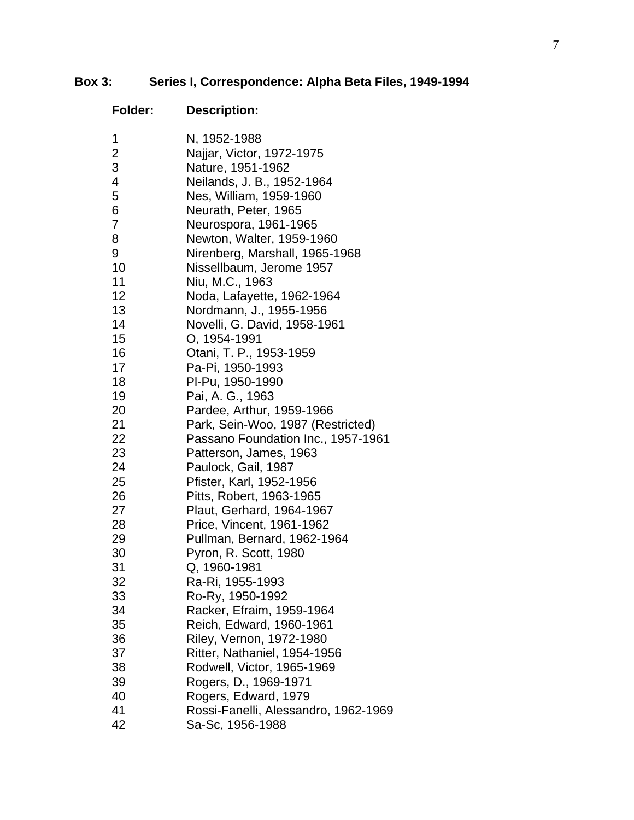# **Box 3: Series I, Correspondence: Alpha Beta Files, 1949-1994**

| <b>Folder:</b>           | <b>Description:</b>                           |
|--------------------------|-----------------------------------------------|
| 1                        | N, 1952-1988                                  |
| $\overline{\mathbf{c}}$  | Najjar, Victor, 1972-1975                     |
| 3                        | Nature, 1951-1962                             |
| $\overline{\mathcal{A}}$ | Neilands, J. B., 1952-1964                    |
| 5                        | Nes, William, 1959-1960                       |
| 6                        | Neurath, Peter, 1965                          |
| $\overline{7}$           | Neurospora, 1961-1965                         |
| 8                        | Newton, Walter, 1959-1960                     |
| 9                        | Nirenberg, Marshall, 1965-1968                |
| 10                       | Nissellbaum, Jerome 1957                      |
| 11                       | Niu, M.C., 1963                               |
| 12                       | Noda, Lafayette, 1962-1964                    |
| 13                       | Nordmann, J., 1955-1956                       |
| 14                       | Novelli, G. David, 1958-1961                  |
| 15                       | O, 1954-1991                                  |
| 16                       | Otani, T. P., 1953-1959                       |
| 17                       | Pa-Pi, 1950-1993                              |
| 18<br>19                 | PI-Pu, 1950-1990                              |
| 20                       | Pai, A. G., 1963<br>Pardee, Arthur, 1959-1966 |
| 21                       | Park, Sein-Woo, 1987 (Restricted)             |
| 22                       | Passano Foundation Inc., 1957-1961            |
| 23                       | Patterson, James, 1963                        |
| 24                       | Paulock, Gail, 1987                           |
| 25                       | Pfister, Karl, 1952-1956                      |
| 26                       | Pitts, Robert, 1963-1965                      |
| 27                       | Plaut, Gerhard, 1964-1967                     |
| 28                       | Price, Vincent, 1961-1962                     |
| 29                       | Pullman, Bernard, 1962-1964                   |
| 30                       | Pyron, R. Scott, 1980                         |
| 31                       | Q, 1960-1981                                  |
| 32                       | Ra-Ri, 1955-1993                              |
| 33                       | Ro-Ry, 1950-1992                              |
| 34                       | Racker, Efraim, 1959-1964                     |
| 35                       | Reich, Edward, 1960-1961                      |
| 36                       | Riley, Vernon, 1972-1980                      |
| 37                       | Ritter, Nathaniel, 1954-1956                  |
| 38                       | Rodwell, Victor, 1965-1969                    |
| 39                       | Rogers, D., 1969-1971                         |
| 40                       | Rogers, Edward, 1979                          |
| 41                       | Rossi-Fanelli, Alessandro, 1962-1969          |
| 42                       | Sa-Sc, 1956-1988                              |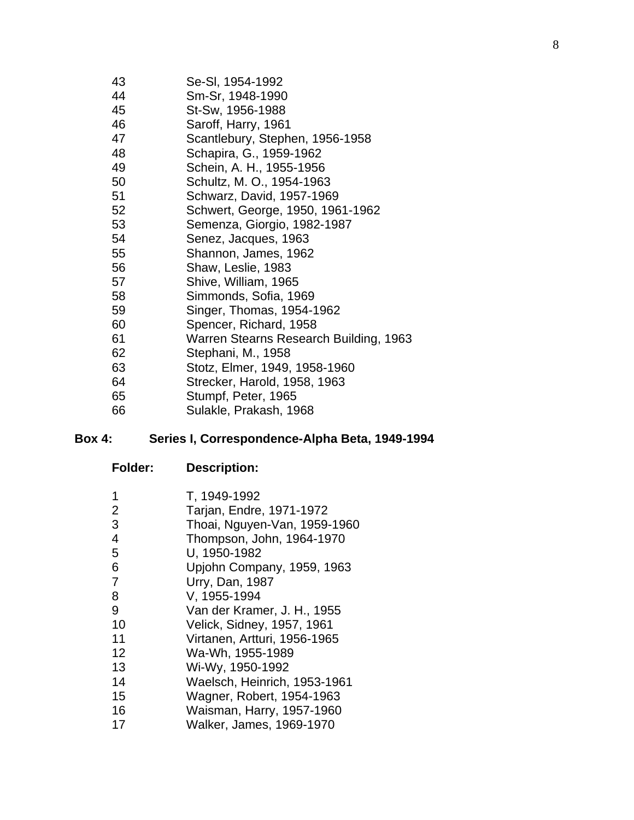- 43 Se-Sl, 1954-1992
- 44 Sm-Sr, 1948-1990
- 45 St-Sw, 1956-1988
- 46 Saroff, Harry, 1961
- 47 Scantlebury, Stephen, 1956-1958
- 48 Schapira, G., 1959-1962
- 49 Schein, A. H., 1955-1956
- 50 Schultz, M. O., 1954-1963
- 51 Schwarz, David, 1957-1969
- 52 Schwert, George, 1950, 1961-1962
- 53 Semenza, Giorgio, 1982-1987
- 54 Senez, Jacques, 1963
- 55 Shannon, James, 1962
- 56 Shaw, Leslie, 1983
- 57 Shive, William, 1965
- 58 Simmonds, Sofia, 1969
- 59 Singer, Thomas, 1954-1962
- 60 Spencer, Richard, 1958
- 61 Warren Stearns Research Building, 1963
- 62 Stephani, M., 1958
- 63 Stotz, Elmer, 1949, 1958-1960
- 64 Strecker, Harold, 1958, 1963
- 65 Stumpf, Peter, 1965
- 66 Sulakle, Prakash, 1968

#### **Box 4: Series I, Correspondence-Alpha Beta, 1949-1994**

| 1<br>$\overline{2}$ | T, 1949-1992<br>Tarjan, Endre, 1971-1972 |
|---------------------|------------------------------------------|
| 3                   | Thoai, Nguyen-Van, 1959-1960             |
| $\overline{4}$      | Thompson, John, 1964-1970                |
| 5                   | U, 1950-1982                             |
| 6                   | Upjohn Company, 1959, 1963               |
| $\overline{7}$      | Urry, Dan, 1987                          |
| 8                   | V, 1955-1994                             |
| 9                   | Van der Kramer, J. H., 1955              |
| 10                  | Velick, Sidney, 1957, 1961               |
| 11                  | Virtanen, Artturi, 1956-1965             |
| 12                  | Wa-Wh, 1955-1989                         |
| 13                  | Wi-Wy, 1950-1992                         |
| 14                  | Waelsch, Heinrich, 1953-1961             |
| 15                  | Wagner, Robert, 1954-1963                |
| 16                  | Waisman, Harry, 1957-1960                |
| 17                  | Walker, James, 1969-1970                 |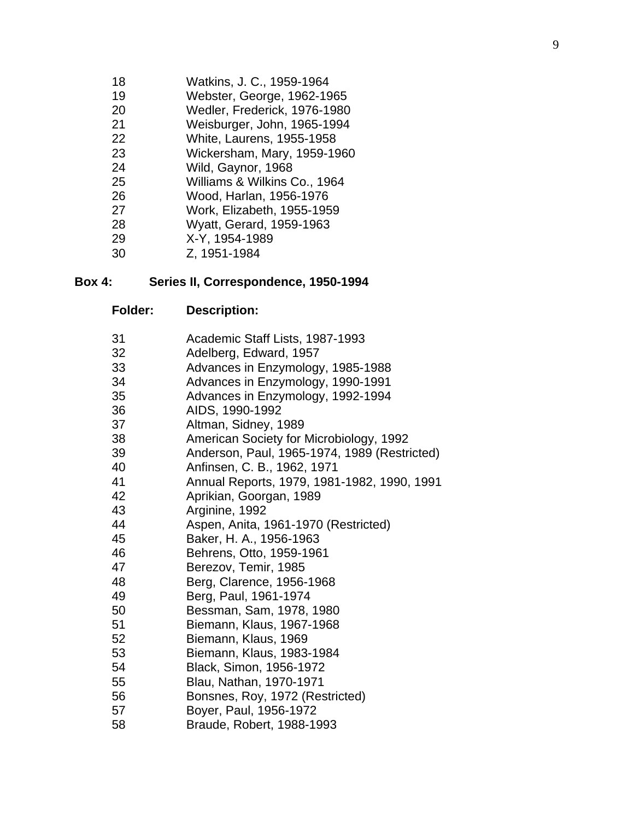- 18 Watkins, J. C., 1959-1964
- 19 Webster, George, 1962-1965
- 20 Wedler, Frederick, 1976-1980
- 21 Weisburger, John, 1965-1994
- 22 White, Laurens, 1955-1958 23 Wickersham, Mary, 1959-1960
- 24 Wild, Gaynor, 1968
- 25 Williams & Wilkins Co., 1964
- 26 Wood, Harlan, 1956-1976
- 27 Work, Elizabeth, 1955-1959
- 28 Wyatt, Gerard, 1959-1963
- 29 X-Y, 1954-1989
- 30 Z, 1951-1984

# **Box 4: Series II, Correspondence, 1950-1994**

| 31 | Academic Staff Lists, 1987-1993              |
|----|----------------------------------------------|
| 32 | Adelberg, Edward, 1957                       |
| 33 | Advances in Enzymology, 1985-1988            |
| 34 | Advances in Enzymology, 1990-1991            |
| 35 | Advances in Enzymology, 1992-1994            |
| 36 | AIDS, 1990-1992                              |
| 37 | Altman, Sidney, 1989                         |
| 38 | American Society for Microbiology, 1992      |
| 39 | Anderson, Paul, 1965-1974, 1989 (Restricted) |
| 40 | Anfinsen, C. B., 1962, 1971                  |
| 41 | Annual Reports, 1979, 1981-1982, 1990, 1991  |
| 42 | Aprikian, Goorgan, 1989                      |
| 43 | Arginine, 1992                               |
| 44 | Aspen, Anita, 1961-1970 (Restricted)         |
| 45 | Baker, H. A., 1956-1963                      |
| 46 | Behrens, Otto, 1959-1961                     |
| 47 | Berezov, Temir, 1985                         |
| 48 | Berg, Clarence, 1956-1968                    |
| 49 | Berg, Paul, 1961-1974                        |
| 50 | Bessman, Sam, 1978, 1980                     |
| 51 | Biemann, Klaus, 1967-1968                    |
| 52 | Biemann, Klaus, 1969                         |
| 53 | Biemann, Klaus, 1983-1984                    |
| 54 | Black, Simon, 1956-1972                      |
| 55 | Blau, Nathan, 1970-1971                      |
| 56 | Bonsnes, Roy, 1972 (Restricted)              |
| 57 | Boyer, Paul, 1956-1972                       |
| 58 | Braude, Robert, 1988-1993                    |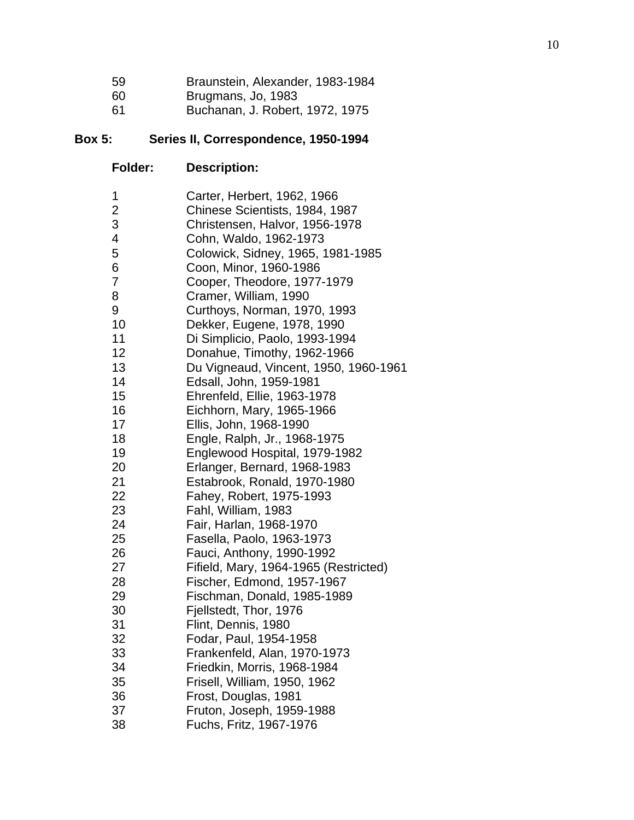| 59 | Braunstein, Alexander, 1983-1984 |  |  |
|----|----------------------------------|--|--|
|----|----------------------------------|--|--|

- 60 Brugmans, Jo, 1983
- 61 Buchanan, J. Robert, 1972, 1975

# **Box 5: Series II, Correspondence, 1950-1994**

| 1                       | Carter, Herbert, 1962, 1966           |
|-------------------------|---------------------------------------|
| $\overline{\mathbf{c}}$ | Chinese Scientists, 1984, 1987        |
| 3                       | Christensen, Halvor, 1956-1978        |
| 4                       | Cohn, Waldo, 1962-1973                |
| 5                       | Colowick, Sidney, 1965, 1981-1985     |
| 6                       | Coon, Minor, 1960-1986                |
| $\overline{7}$          | Cooper, Theodore, 1977-1979           |
| 8                       | Cramer, William, 1990                 |
| 9                       | Curthoys, Norman, 1970, 1993          |
| 10                      | Dekker, Eugene, 1978, 1990            |
| 11                      | Di Simplicio, Paolo, 1993-1994        |
| 12                      | Donahue, Timothy, 1962-1966           |
| 13                      | Du Vigneaud, Vincent, 1950, 1960-1961 |
| 14                      | Edsall, John, 1959-1981               |
| 15                      | Ehrenfeld, Ellie, 1963-1978           |
| 16                      | Eichhorn, Mary, 1965-1966             |
| 17                      | Ellis, John, 1968-1990                |
| 18                      | Engle, Ralph, Jr., 1968-1975          |
| 19                      | Englewood Hospital, 1979-1982         |
| 20                      | Erlanger, Bernard, 1968-1983          |
| 21                      | Estabrook, Ronald, 1970-1980          |
| 22                      | Fahey, Robert, 1975-1993              |
| 23                      | Fahl, William, 1983                   |
| 24                      | Fair, Harlan, 1968-1970               |
| 25                      | Fasella, Paolo, 1963-1973             |
| 26                      | Fauci, Anthony, 1990-1992             |
| 27                      | Fifield, Mary, 1964-1965 (Restricted) |
| 28                      | Fischer, Edmond, 1957-1967            |
| 29                      | Fischman, Donald, 1985-1989           |
| 30                      | Fjellstedt, Thor, 1976                |
| 31                      | Flint, Dennis, 1980                   |
| 32                      | Fodar, Paul, 1954-1958                |
| 33                      | Frankenfeld, Alan, 1970-1973          |
| 34                      | Friedkin, Morris, 1968-1984           |
| 35                      | Frisell, William, 1950, 1962          |
| 36                      | Frost, Douglas, 1981                  |
| 37                      | Fruton, Joseph, 1959-1988             |
| 38                      | Fuchs, Fritz, 1967-1976               |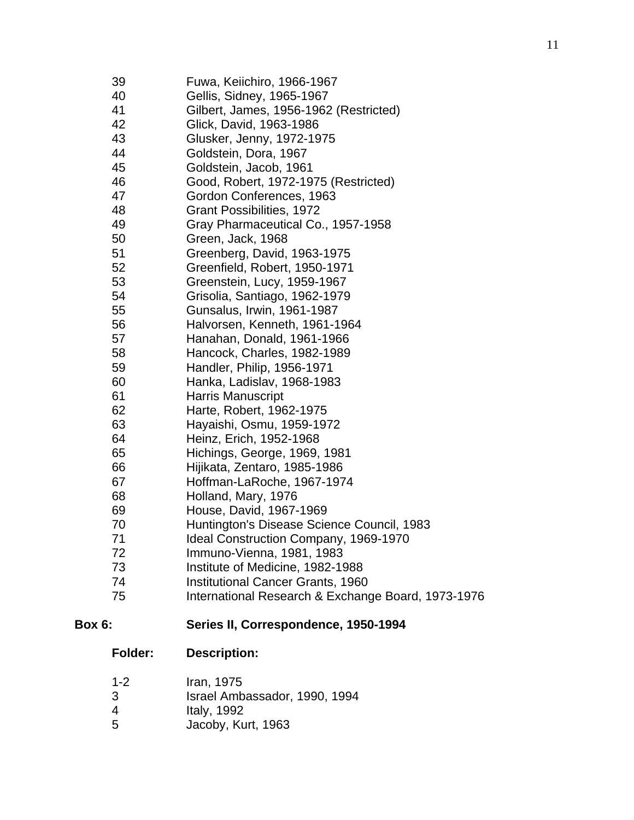| 39<br>40<br>41<br>42<br>43<br>44<br>45<br>46<br>47<br>48<br>49<br>50<br>51<br>52<br>53<br>54<br>55 | Fuwa, Keiichiro, 1966-1967<br>Gellis, Sidney, 1965-1967<br>Gilbert, James, 1956-1962 (Restricted)<br>Glick, David, 1963-1986<br>Glusker, Jenny, 1972-1975<br>Goldstein, Dora, 1967<br>Goldstein, Jacob, 1961<br>Good, Robert, 1972-1975 (Restricted)<br>Gordon Conferences, 1963<br><b>Grant Possibilities, 1972</b><br>Gray Pharmaceutical Co., 1957-1958<br>Green, Jack, 1968<br>Greenberg, David, 1963-1975<br>Greenfield, Robert, 1950-1971<br>Greenstein, Lucy, 1959-1967<br>Grisolia, Santiago, 1962-1979<br>Gunsalus, Irwin, 1961-1987 |
|----------------------------------------------------------------------------------------------------|-----------------------------------------------------------------------------------------------------------------------------------------------------------------------------------------------------------------------------------------------------------------------------------------------------------------------------------------------------------------------------------------------------------------------------------------------------------------------------------------------------------------------------------------------|
| 56                                                                                                 | Halvorsen, Kenneth, 1961-1964                                                                                                                                                                                                                                                                                                                                                                                                                                                                                                                 |
| 57                                                                                                 | Hanahan, Donald, 1961-1966                                                                                                                                                                                                                                                                                                                                                                                                                                                                                                                    |
| 58                                                                                                 | Hancock, Charles, 1982-1989                                                                                                                                                                                                                                                                                                                                                                                                                                                                                                                   |
| 59                                                                                                 | Handler, Philip, 1956-1971                                                                                                                                                                                                                                                                                                                                                                                                                                                                                                                    |
| 60                                                                                                 | Hanka, Ladislav, 1968-1983                                                                                                                                                                                                                                                                                                                                                                                                                                                                                                                    |
| 61                                                                                                 | <b>Harris Manuscript</b>                                                                                                                                                                                                                                                                                                                                                                                                                                                                                                                      |
| 62                                                                                                 | Harte, Robert, 1962-1975                                                                                                                                                                                                                                                                                                                                                                                                                                                                                                                      |
| 63                                                                                                 | Hayaishi, Osmu, 1959-1972                                                                                                                                                                                                                                                                                                                                                                                                                                                                                                                     |
| 64                                                                                                 | Heinz, Erich, 1952-1968                                                                                                                                                                                                                                                                                                                                                                                                                                                                                                                       |
| 65                                                                                                 | Hichings, George, 1969, 1981                                                                                                                                                                                                                                                                                                                                                                                                                                                                                                                  |
| 66                                                                                                 | Hijikata, Zentaro, 1985-1986                                                                                                                                                                                                                                                                                                                                                                                                                                                                                                                  |
| 67                                                                                                 | Hoffman-LaRoche, 1967-1974                                                                                                                                                                                                                                                                                                                                                                                                                                                                                                                    |
| 68                                                                                                 | Holland, Mary, 1976                                                                                                                                                                                                                                                                                                                                                                                                                                                                                                                           |
| 69                                                                                                 | House, David, 1967-1969                                                                                                                                                                                                                                                                                                                                                                                                                                                                                                                       |
| 70                                                                                                 | Huntington's Disease Science Council, 1983                                                                                                                                                                                                                                                                                                                                                                                                                                                                                                    |
| 71                                                                                                 | Ideal Construction Company, 1969-1970                                                                                                                                                                                                                                                                                                                                                                                                                                                                                                         |
| 72                                                                                                 | Immuno-Vienna, 1981, 1983                                                                                                                                                                                                                                                                                                                                                                                                                                                                                                                     |
| 73                                                                                                 | Institute of Medicine, 1982-1988                                                                                                                                                                                                                                                                                                                                                                                                                                                                                                              |
| 74<br>75                                                                                           | <b>Institutional Cancer Grants, 1960</b><br>International Research & Exchange Board, 1973-1976                                                                                                                                                                                                                                                                                                                                                                                                                                                |
|                                                                                                    |                                                                                                                                                                                                                                                                                                                                                                                                                                                                                                                                               |

# **Box 6: Series II, Correspondence, 1950-1994**

- 1-2 Iran, 1975
- 3 Israel Ambassador, 1990, 1994
- 
- 4 Italy, 1992<br>5 Jacoby, Ku 5 Jacoby, Kurt, 1963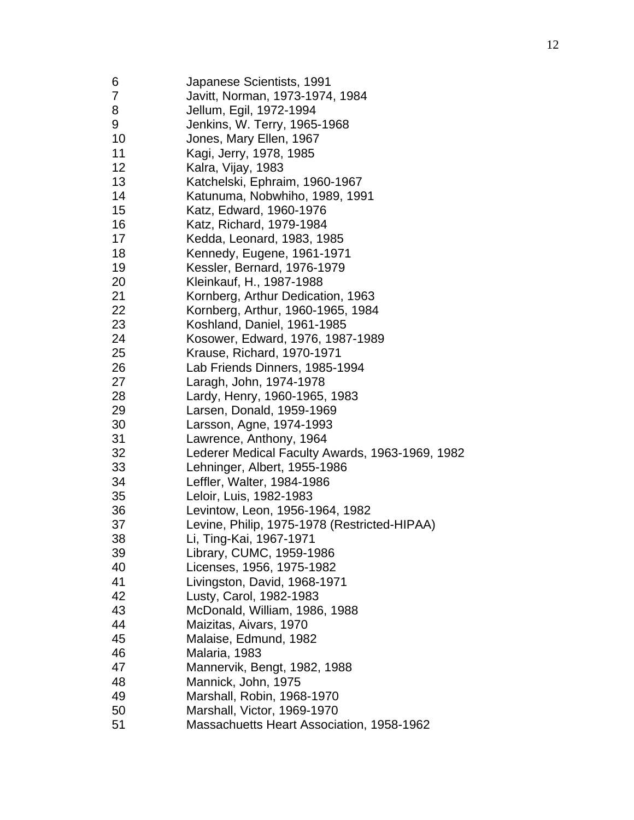| 6  | Japanese Scientists, 1991                       |
|----|-------------------------------------------------|
| 7  | Javitt, Norman, 1973-1974, 1984                 |
| 8  | Jellum, Egil, 1972-1994                         |
| 9  | Jenkins, W. Terry, 1965-1968                    |
| 10 | Jones, Mary Ellen, 1967                         |
| 11 | Kagi, Jerry, 1978, 1985                         |
| 12 | Kalra, Vijay, 1983                              |
| 13 | Katchelski, Ephraim, 1960-1967                  |
| 14 | Katunuma, Nobwhiho, 1989, 1991                  |
| 15 | Katz, Edward, 1960-1976                         |
| 16 | Katz, Richard, 1979-1984                        |
| 17 | Kedda, Leonard, 1983, 1985                      |
| 18 | Kennedy, Eugene, 1961-1971                      |
| 19 | Kessler, Bernard, 1976-1979                     |
| 20 | Kleinkauf, H., 1987-1988                        |
| 21 | Kornberg, Arthur Dedication, 1963               |
| 22 | Kornberg, Arthur, 1960-1965, 1984               |
| 23 | Koshland, Daniel, 1961-1985                     |
| 24 | Kosower, Edward, 1976, 1987-1989                |
| 25 | Krause, Richard, 1970-1971                      |
| 26 | Lab Friends Dinners, 1985-1994                  |
| 27 | Laragh, John, 1974-1978                         |
| 28 | Lardy, Henry, 1960-1965, 1983                   |
| 29 | Larsen, Donald, 1959-1969                       |
| 30 | Larsson, Agne, 1974-1993                        |
| 31 | Lawrence, Anthony, 1964                         |
| 32 | Lederer Medical Faculty Awards, 1963-1969, 1982 |
| 33 | Lehninger, Albert, 1955-1986                    |
| 34 | Leffler, Walter, 1984-1986                      |
| 35 | Leloir, Luis, 1982-1983                         |
| 36 | Levintow, Leon, 1956-1964, 1982                 |
| 37 | Levine, Philip, 1975-1978 (Restricted-HIPAA)    |
| 38 | Li, Ting-Kai, 1967-1971                         |
| 39 | Library, CUMC, 1959-1986                        |
| 40 | Licenses, 1956, 1975-1982                       |
| 41 | Livingston, David, 1968-1971                    |
| 42 | Lusty, Carol, 1982-1983                         |
| 43 | McDonald, William, 1986, 1988                   |
| 44 | Maizitas, Aivars, 1970                          |
| 45 | Malaise, Edmund, 1982                           |
| 46 | Malaria, 1983                                   |
| 47 | Mannervik, Bengt, 1982, 1988                    |
| 48 | Mannick, John, 1975                             |
| 49 | Marshall, Robin, 1968-1970                      |
| 50 | Marshall, Victor, 1969-1970                     |
| 51 | Massachuetts Heart Association, 1958-1962       |
|    |                                                 |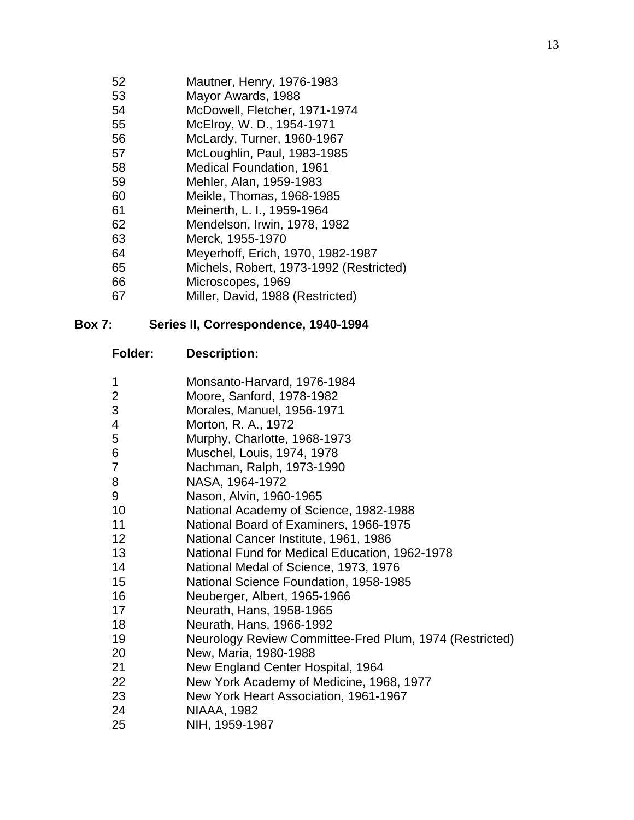- 52 Mautner, Henry, 1976-1983
- 53 Mayor Awards, 1988
- 54 McDowell, Fletcher, 1971-1974
- 55 McElroy, W. D., 1954-1971
- 56 McLardy, Turner, 1960-1967
- 57 McLoughlin, Paul, 1983-1985
- 58 Medical Foundation, 1961
- 59 Mehler, Alan, 1959-1983
- 60 Meikle, Thomas, 1968-1985
- 61 Meinerth, L. I., 1959-1964
- 62 Mendelson, Irwin, 1978, 1982
- 63 Merck, 1955-1970
- 64 Meyerhoff, Erich, 1970, 1982-1987
- 65 Michels, Robert, 1973-1992 (Restricted)
- 66 Microscopes, 1969
- 67 Miller, David, 1988 (Restricted)

#### **Box 7: Series II, Correspondence, 1940-1994**

- 1 Monsanto-Harvard, 1976-1984
- 2 Moore, Sanford, 1978-1982
- 3 Morales, Manuel, 1956-1971
- 4 Morton, R. A., 1972
- 5 Murphy, Charlotte, 1968-1973
- 6 Muschel, Louis, 1974, 1978
- 7 Nachman, Ralph, 1973-1990
- 8 NASA, 1964-1972
- 9 Nason, Alvin, 1960-1965
- 10 National Academy of Science, 1982-1988
- 11 National Board of Examiners, 1966-1975
- 12 National Cancer Institute, 1961, 1986
- 13 National Fund for Medical Education, 1962-1978
- 14 National Medal of Science, 1973, 1976
- 15 National Science Foundation, 1958-1985
- 16 Neuberger, Albert, 1965-1966
- 17 Neurath, Hans, 1958-1965
- 18 Neurath, Hans, 1966-1992
- 19 Neurology Review Committee-Fred Plum, 1974 (Restricted)
- 20 New, Maria, 1980-1988
- 21 New England Center Hospital, 1964
- 22 New York Academy of Medicine, 1968, 1977
- 23 New York Heart Association, 1961-1967
- 24 NIAAA, 1982
- 25 NIH, 1959-1987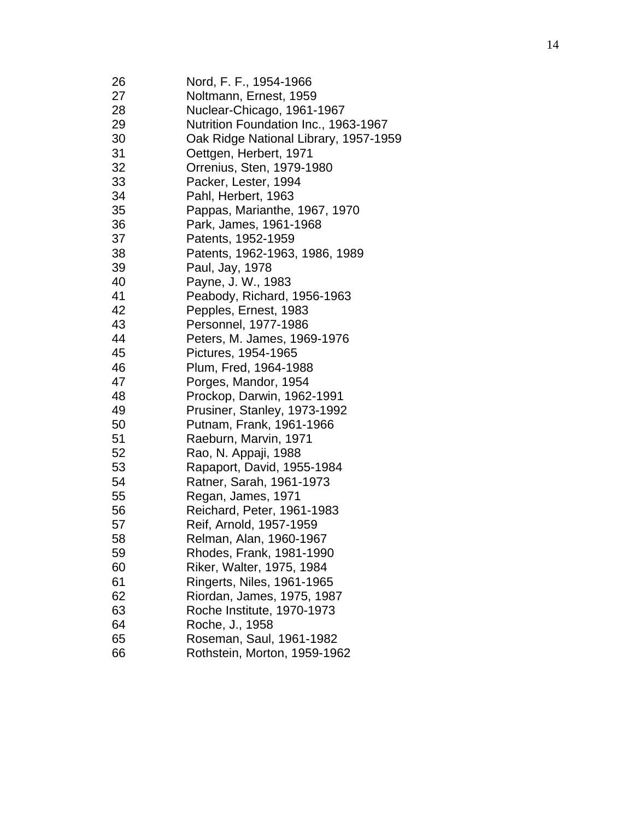| Nutrition Foundation Inc., 1963-1967<br>Oak Ridge National Library, 1957-1959 |
|-------------------------------------------------------------------------------|
|                                                                               |
|                                                                               |
|                                                                               |
|                                                                               |
|                                                                               |
|                                                                               |
|                                                                               |
|                                                                               |
|                                                                               |
|                                                                               |
|                                                                               |
|                                                                               |
|                                                                               |
|                                                                               |
|                                                                               |
|                                                                               |
|                                                                               |
|                                                                               |
|                                                                               |
|                                                                               |
|                                                                               |
|                                                                               |
|                                                                               |
|                                                                               |
|                                                                               |
|                                                                               |
|                                                                               |
|                                                                               |
|                                                                               |
|                                                                               |
|                                                                               |
|                                                                               |
|                                                                               |
|                                                                               |
|                                                                               |
|                                                                               |
|                                                                               |
|                                                                               |
|                                                                               |
|                                                                               |
|                                                                               |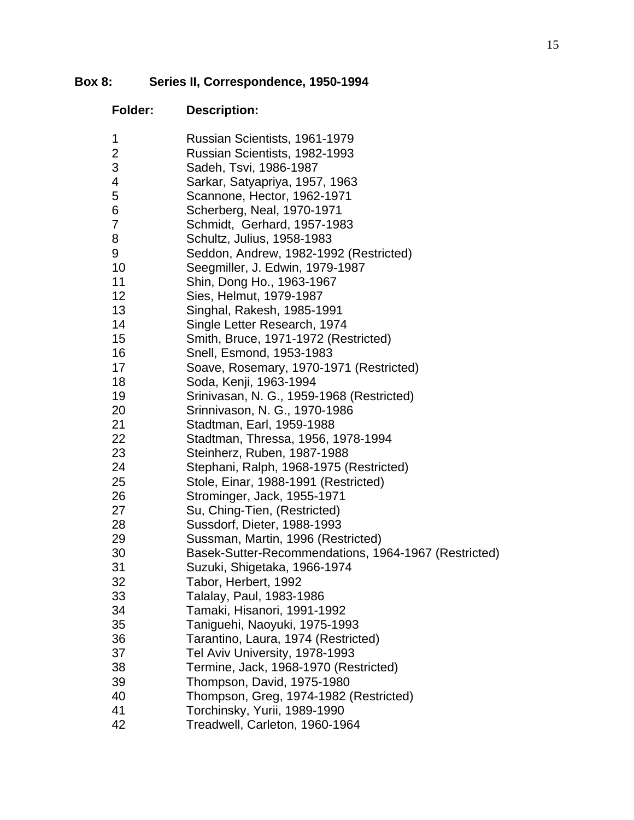# **Box 8: Series II, Correspondence, 1950-1994**

| Folder: | <b>Description:</b>                                  |
|---------|------------------------------------------------------|
| 1       | Russian Scientists, 1961-1979                        |
| 2       | Russian Scientists, 1982-1993                        |
| 3       | Sadeh, Tsvi, 1986-1987                               |
| 4       | Sarkar, Satyapriya, 1957, 1963                       |
| 5       | Scannone, Hector, 1962-1971                          |
| 6       | Scherberg, Neal, 1970-1971                           |
| 7       | Schmidt, Gerhard, 1957-1983                          |
| 8       | Schultz, Julius, 1958-1983                           |
| 9       | Seddon, Andrew, 1982-1992 (Restricted)               |
| 10      | Seegmiller, J. Edwin, 1979-1987                      |
| 11      | Shin, Dong Ho., 1963-1967                            |
| 12      | Sies, Helmut, 1979-1987                              |
| 13      | Singhal, Rakesh, 1985-1991                           |
| 14      | Single Letter Research, 1974                         |
| 15      | Smith, Bruce, 1971-1972 (Restricted)                 |
| 16      | Snell, Esmond, 1953-1983                             |
| 17      | Soave, Rosemary, 1970-1971 (Restricted)              |
| 18      | Soda, Kenji, 1963-1994                               |
| 19      | Srinivasan, N. G., 1959-1968 (Restricted)            |
| 20      | Srinnivason, N. G., 1970-1986                        |
| 21      | Stadtman, Earl, 1959-1988                            |
| 22      | Stadtman, Thressa, 1956, 1978-1994                   |
| 23      | Steinherz, Ruben, 1987-1988                          |
| 24      | Stephani, Ralph, 1968-1975 (Restricted)              |
| 25      | Stole, Einar, 1988-1991 (Restricted)                 |
| 26      | Strominger, Jack, 1955-1971                          |
| 27      | Su, Ching-Tien, (Restricted)                         |
| 28      | Sussdorf, Dieter, 1988-1993                          |
| 29      | Sussman, Martin, 1996 (Restricted)                   |
| 30      | Basek-Sutter-Recommendations, 1964-1967 (Restricted) |
| 31      | Suzuki, Shigetaka, 1966-1974                         |
| 32      | Tabor, Herbert, 1992                                 |
| 33      | Talalay, Paul, 1983-1986                             |
| 34      | Tamaki, Hisanori, 1991-1992                          |
| 35      | Taniguehi, Naoyuki, 1975-1993                        |
| 36      | Tarantino, Laura, 1974 (Restricted)                  |
| 37      | Tel Aviv University, 1978-1993                       |
| 38      | Termine, Jack, 1968-1970 (Restricted)                |
| 39      | Thompson, David, 1975-1980                           |
| 40      | Thompson, Greg, 1974-1982 (Restricted)               |
| 41      | Torchinsky, Yurii, 1989-1990                         |
| 42      | Treadwell, Carleton, 1960-1964                       |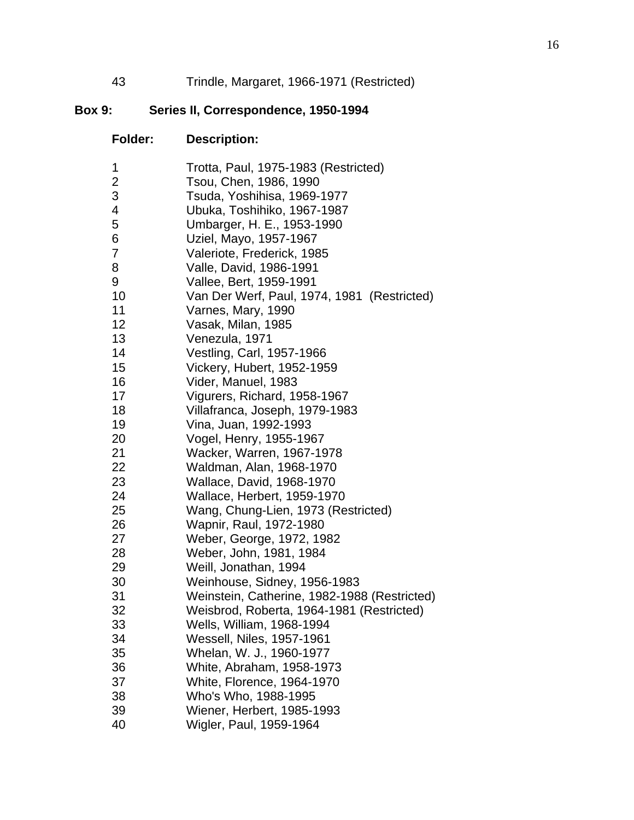43 Trindle, Margaret, 1966-1971 (Restricted)

# **Box 9: Series II, Correspondence, 1950-1994**

| 1  | Trotta, Paul, 1975-1983 (Restricted)         |
|----|----------------------------------------------|
| 2  | Tsou, Chen, 1986, 1990                       |
| 3  | Tsuda, Yoshihisa, 1969-1977                  |
| 4  | Ubuka, Toshihiko, 1967-1987                  |
| 5  | Umbarger, H. E., 1953-1990                   |
| 6  | Uziel, Mayo, 1957-1967                       |
| 7  | Valeriote, Frederick, 1985                   |
| 8  | Valle, David, 1986-1991                      |
| 9  | Vallee, Bert, 1959-1991                      |
| 10 | Van Der Werf, Paul, 1974, 1981 (Restricted)  |
| 11 | Varnes, Mary, 1990                           |
| 12 | Vasak, Milan, 1985                           |
| 13 | Venezula, 1971                               |
| 14 | Vestling, Carl, 1957-1966                    |
| 15 | Vickery, Hubert, 1952-1959                   |
| 16 | Vider, Manuel, 1983                          |
| 17 | Vigurers, Richard, 1958-1967                 |
| 18 | Villafranca, Joseph, 1979-1983               |
| 19 | Vina, Juan, 1992-1993                        |
| 20 | Vogel, Henry, 1955-1967                      |
| 21 | Wacker, Warren, 1967-1978                    |
| 22 | Waldman, Alan, 1968-1970                     |
| 23 | Wallace, David, 1968-1970                    |
| 24 | Wallace, Herbert, 1959-1970                  |
| 25 | Wang, Chung-Lien, 1973 (Restricted)          |
| 26 | Wapnir, Raul, 1972-1980                      |
| 27 | Weber, George, 1972, 1982                    |
| 28 | Weber, John, 1981, 1984                      |
| 29 | Weill, Jonathan, 1994                        |
| 30 | Weinhouse, Sidney, 1956-1983                 |
| 31 | Weinstein, Catherine, 1982-1988 (Restricted) |
| 32 | Weisbrod, Roberta, 1964-1981 (Restricted)    |
| 33 | Wells, William, 1968-1994                    |
| 34 | Wessell, Niles, 1957-1961                    |
| 35 | Whelan, W. J., 1960-1977                     |
| 36 | White, Abraham, 1958-1973                    |
| 37 | <b>White, Florence, 1964-1970</b>            |
| 38 | Who's Who, 1988-1995                         |
| 39 | Wiener, Herbert, 1985-1993                   |
| 40 | Wigler, Paul, 1959-1964                      |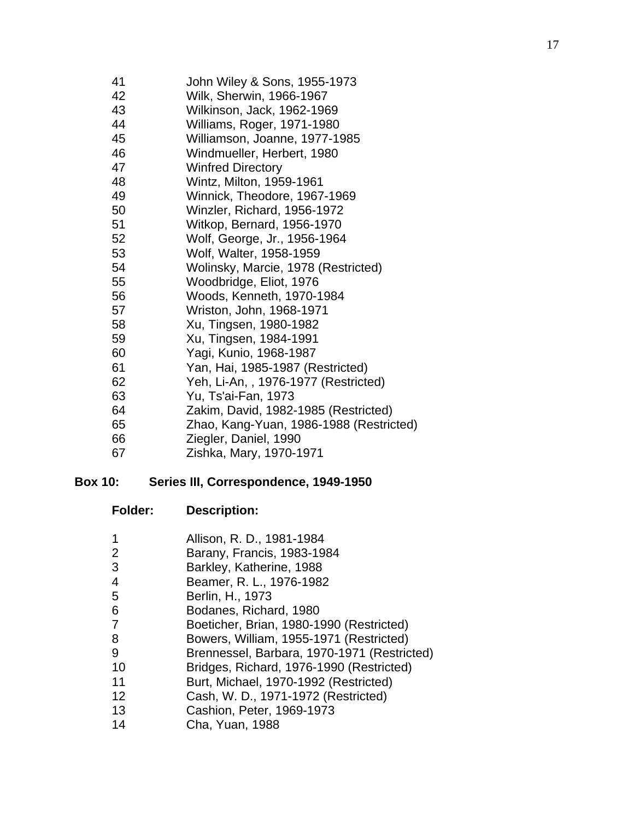| 41 | John Wiley & Sons, 1955-1973            |
|----|-----------------------------------------|
| 42 | Wilk, Sherwin, 1966-1967                |
| 43 | Wilkinson, Jack, 1962-1969              |
| 44 | Williams, Roger, 1971-1980              |
| 45 | Williamson, Joanne, 1977-1985           |
| 46 | Windmueller, Herbert, 1980              |
| 47 | <b>Winfred Directory</b>                |
| 48 | Wintz, Milton, 1959-1961                |
| 49 | Winnick, Theodore, 1967-1969            |
| 50 | Winzler, Richard, 1956-1972             |
| 51 | Witkop, Bernard, 1956-1970              |
| 52 | Wolf, George, Jr., 1956-1964            |
| 53 | Wolf, Walter, 1958-1959                 |
| 54 | Wolinsky, Marcie, 1978 (Restricted)     |
| 55 | Woodbridge, Eliot, 1976                 |
| 56 | Woods, Kenneth, 1970-1984               |
| 57 | Wriston, John, 1968-1971                |
| 58 | Xu, Tingsen, 1980-1982                  |
| 59 | Xu, Tingsen, 1984-1991                  |
| 60 | Yagi, Kunio, 1968-1987                  |
| 61 | Yan, Hai, 1985-1987 (Restricted)        |
| 62 | Yeh, Li-An,, 1976-1977 (Restricted)     |
| 63 | Yu, Ts'ai-Fan, 1973                     |
| 64 | Zakim, David, 1982-1985 (Restricted)    |
| 65 | Zhao, Kang-Yuan, 1986-1988 (Restricted) |
| 66 | Ziegler, Daniel, 1990                   |
| 67 | Zishka, Mary, 1970-1971                 |

#### **Box 10: Series III, Correspondence, 1949-1950**

| <b>Folder:</b> | <b>Description:</b> |
|----------------|---------------------|
|                |                     |

- 1 Allison, R. D., 1981-1984
- 2 Barany, Francis, 1983-1984
- 3 Barkley, Katherine, 1988
- 4 Beamer, R. L., 1976-1982
- 5 Berlin, H., 1973
- 6 Bodanes, Richard, 1980
- 7 Boeticher, Brian, 1980-1990 (Restricted)
- 8 Bowers, William, 1955-1971 (Restricted)
- 9 Brennessel, Barbara, 1970-1971 (Restricted)
- 10 Bridges, Richard, 1976-1990 (Restricted)
- 11 Burt, Michael, 1970-1992 (Restricted)
- 12 Cash, W. D., 1971-1972 (Restricted)
- 13 Cashion, Peter, 1969-1973
- 14 Cha, Yuan, 1988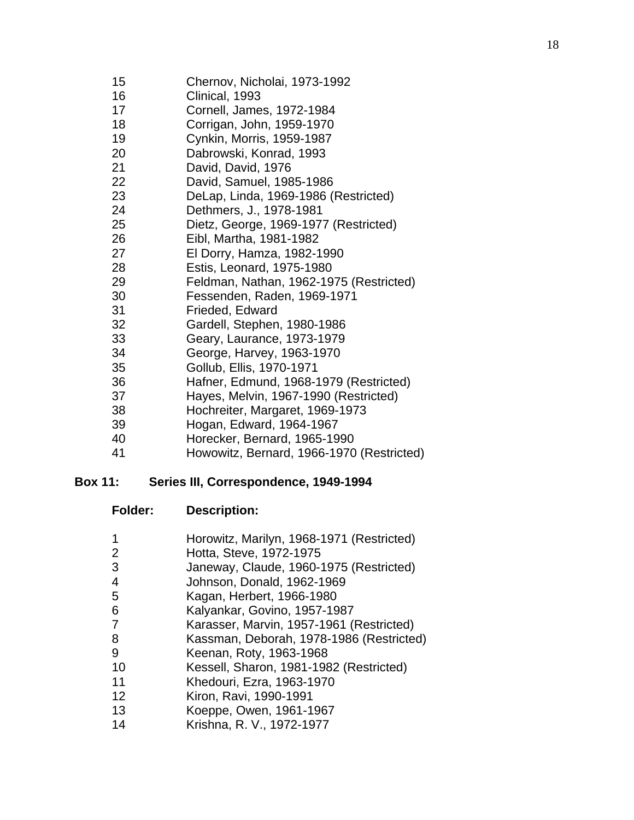- 15 Chernov, Nicholai, 1973-1992
- 16 Clinical, 1993
- 17 Cornell, James, 1972-1984
- 18 Corrigan, John, 1959-1970
- 19 Cynkin, Morris, 1959-1987
- 20 Dabrowski, Konrad, 1993
- 21 David, David, 1976
- 22 David, Samuel, 1985-1986
- 23 DeLap, Linda, 1969-1986 (Restricted)
- 24 Dethmers, J., 1978-1981
- 25 Dietz, George, 1969-1977 (Restricted)
- 26 Eibl, Martha, 1981-1982
- 27 El Dorry, Hamza, 1982-1990
- 28 Estis, Leonard, 1975-1980
- 29 Feldman, Nathan, 1962-1975 (Restricted)
- 30 Fessenden, Raden, 1969-1971
- 31 Frieded, Edward
- 32 Gardell, Stephen, 1980-1986
- 33 Geary, Laurance, 1973-1979
- 34 George, Harvey, 1963-1970
- 35 Gollub, Ellis, 1970-1971
- 36 Hafner, Edmund, 1968-1979 (Restricted)
- 37 Hayes, Melvin, 1967-1990 (Restricted)
- 38 Hochreiter, Margaret, 1969-1973
- 39 Hogan, Edward, 1964-1967
- 40 Horecker, Bernard, 1965-1990
- 41 Howowitz, Bernard, 1966-1970 (Restricted)

#### **Box 11: Series III, Correspondence, 1949-1994**

- **Folder: Description:**
- 1 Horowitz, Marilyn, 1968-1971 (Restricted)
- 2 Hotta, Steve, 1972-1975
- 3 Janeway, Claude, 1960-1975 (Restricted)
- 4 Johnson, Donald, 1962-1969
- 5 Kagan, Herbert, 1966-1980
- 6 Kalyankar, Govino, 1957-1987
- 7 Karasser, Marvin, 1957-1961 (Restricted)
- 8 Kassman, Deborah, 1978-1986 (Restricted)
- 9 Keenan, Roty, 1963-1968
- 10 Kessell, Sharon, 1981-1982 (Restricted)
- 11 Khedouri, Ezra, 1963-1970
- 12 Kiron, Ravi, 1990-1991
- 13 Koeppe, Owen, 1961-1967
- 14 Krishna, R. V., 1972-1977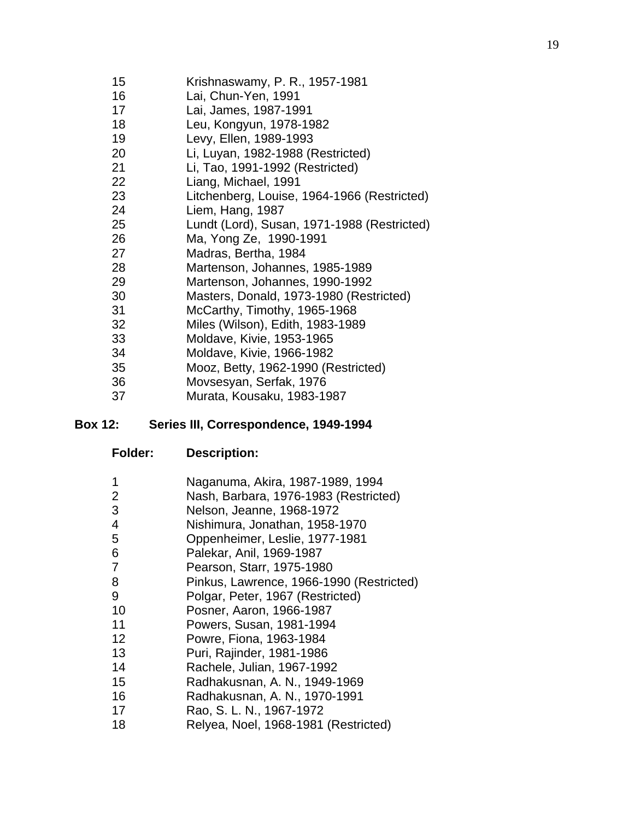- 15 Krishnaswamy, P. R., 1957-1981
- 16 Lai, Chun-Yen, 1991
- 17 Lai, James, 1987-1991
- 18 Leu, Kongyun, 1978-1982
- 19 Levy, Ellen, 1989-1993
- 20 Li, Luyan, 1982-1988 (Restricted)
- 21 Li, Tao, 1991-1992 (Restricted)
- 22 Liang, Michael, 1991
- 23 Litchenberg, Louise, 1964-1966 (Restricted)
- 24 Liem, Hang, 1987
- 25 Lundt (Lord), Susan, 1971-1988 (Restricted)
- 26 Ma, Yong Ze, 1990-1991
- 27 Madras, Bertha, 1984
- 28 Martenson, Johannes, 1985-1989
- 29 Martenson, Johannes, 1990-1992
- 30 Masters, Donald, 1973-1980 (Restricted)
- 31 McCarthy, Timothy, 1965-1968
- 32 Miles (Wilson), Edith, 1983-1989
- 33 Moldave, Kivie, 1953-1965
- 34 Moldave, Kivie, 1966-1982
- 35 Mooz, Betty, 1962-1990 (Restricted)
- 36 Movsesyan, Serfak, 1976
- 37 Murata, Kousaku, 1983-1987

#### **Box 12: Series III, Correspondence, 1949-1994**

| Naganuma, Akira, 1987-1989, 1994 |
|----------------------------------|
|                                  |

- 2 Nash, Barbara, 1976-1983 (Restricted)
- 3 Nelson, Jeanne, 1968-1972
- 4 Nishimura, Jonathan, 1958-1970
- 5 Oppenheimer, Leslie, 1977-1981
- 6 Palekar, Anil, 1969-1987
- 7 Pearson, Starr, 1975-1980
- 8 Pinkus, Lawrence, 1966-1990 (Restricted)
- 9 Polgar, Peter, 1967 (Restricted)
- 10 Posner, Aaron, 1966-1987
- 11 Powers, Susan, 1981-1994
- 12 Powre, Fiona, 1963-1984
- 13 Puri, Rajinder, 1981-1986
- 14 Rachele, Julian, 1967-1992
- 15 Radhakusnan, A. N., 1949-1969
- 16 Radhakusnan, A. N., 1970-1991
- 17 Rao, S. L. N., 1967-1972
- 18 Relyea, Noel, 1968-1981 (Restricted)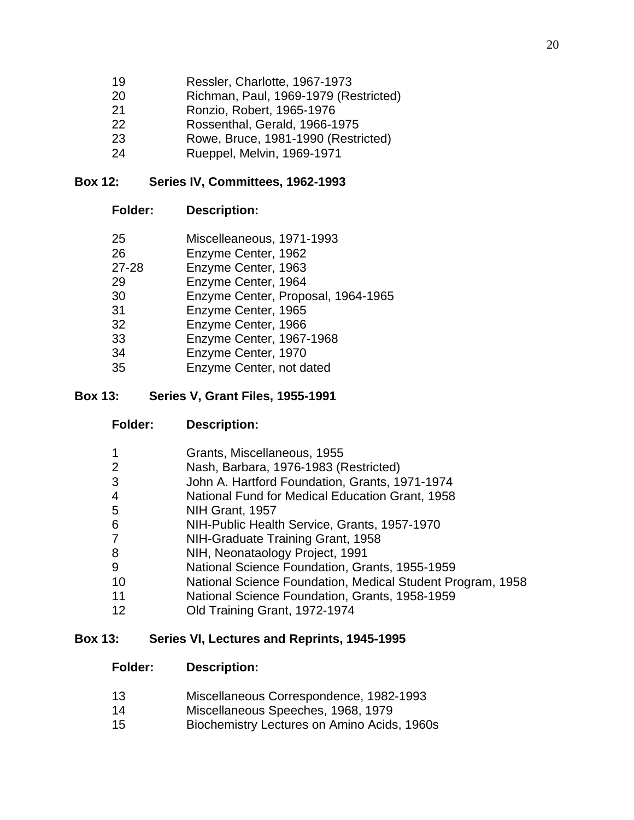- 19 Ressler, Charlotte, 1967-1973
- 20 Richman, Paul, 1969-1979 (Restricted)
- 21 Ronzio, Robert, 1965-1976
- 22 Rossenthal, Gerald, 1966-1975
- 23 Rowe, Bruce, 1981-1990 (Restricted)
- 24 Rueppel, Melvin, 1969-1971

#### **Box 12: Series IV, Committees, 1962-1993**

- **Folder: Description:**
- 25 Miscelleaneous, 1971-1993
- 26 Enzyme Center, 1962
- 27-28 Enzyme Center, 1963
- 29 Enzyme Center, 1964
- 30 Enzyme Center, Proposal, 1964-1965
- 31 Enzyme Center, 1965
- 32 Enzyme Center, 1966
- 33 Enzyme Center, 1967-1968
- 34 Enzyme Center, 1970
- 35 Enzyme Center, not dated

#### **Box 13: Series V, Grant Files, 1955-1991**

**Folder: Description:** 

| $\mathbf{1}$   | Grants, Miscellaneous, 1955                                |
|----------------|------------------------------------------------------------|
| 2              | Nash, Barbara, 1976-1983 (Restricted)                      |
| 3              | John A. Hartford Foundation, Grants, 1971-1974             |
| $\overline{4}$ | National Fund for Medical Education Grant, 1958            |
| 5              | NIH Grant, 1957                                            |
| 6              | NIH-Public Health Service, Grants, 1957-1970               |
| $\overline{7}$ | NIH-Graduate Training Grant, 1958                          |
| 8              | NIH, Neonataology Project, 1991                            |
| 9              | National Science Foundation, Grants, 1955-1959             |
| 10             | National Science Foundation, Medical Student Program, 1958 |
| 11             | National Science Foundation, Grants, 1958-1959             |
| 12             | Old Training Grant, 1972-1974                              |

## **Box 13: Series VI, Lectures and Reprints, 1945-1995**

- 13 Miscellaneous Correspondence, 1982-1993
- 14 Miscellaneous Speeches, 1968, 1979
- 15 Biochemistry Lectures on Amino Acids, 1960s